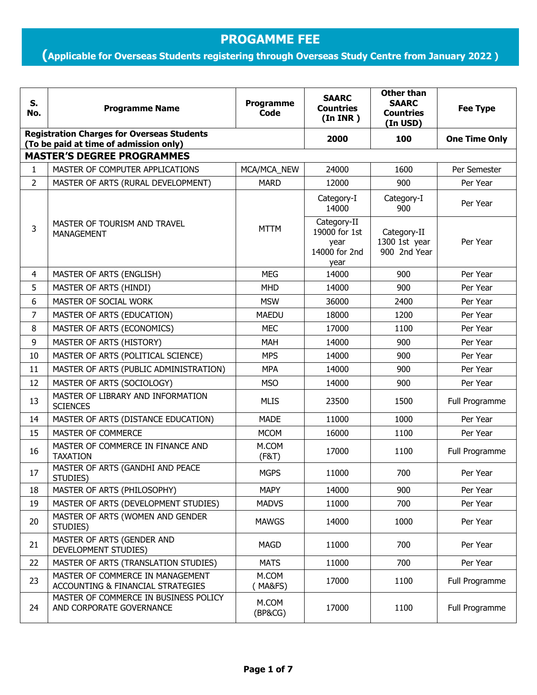## **PROGAMME FEE**

## **(Applicable for Overseas Students registering through Overseas Study Centre from January 2022 ) onwards)**

| S.<br>No.                                                                                   | <b>Programme Name</b>                                                 | Programme<br>Code | <b>SAARC</b><br><b>Countries</b><br>(In <b>INR</b> )          | <b>Other than</b><br><b>SAARC</b><br><b>Countries</b><br>(In USD) | <b>Fee Type</b>      |  |  |  |
|---------------------------------------------------------------------------------------------|-----------------------------------------------------------------------|-------------------|---------------------------------------------------------------|-------------------------------------------------------------------|----------------------|--|--|--|
| <b>Registration Charges for Overseas Students</b><br>(To be paid at time of admission only) |                                                                       |                   | 2000                                                          | 100                                                               | <b>One Time Only</b> |  |  |  |
|                                                                                             | <b>MASTER'S DEGREE PROGRAMMES</b>                                     |                   |                                                               |                                                                   |                      |  |  |  |
| $\mathbf{1}$                                                                                | MASTER OF COMPUTER APPLICATIONS                                       | MCA/MCA_NEW       | 24000                                                         | 1600                                                              | Per Semester         |  |  |  |
| $\overline{2}$                                                                              | MASTER OF ARTS (RURAL DEVELOPMENT)                                    | <b>MARD</b>       | 12000                                                         | 900                                                               | Per Year             |  |  |  |
|                                                                                             |                                                                       |                   | Category-I<br>14000                                           | Category-I<br>900                                                 | Per Year             |  |  |  |
| 3                                                                                           | MASTER OF TOURISM AND TRAVEL<br><b>MANAGEMENT</b>                     | <b>MTTM</b>       | Category-II<br>19000 for 1st<br>year<br>14000 for 2nd<br>year | Category-II<br>1300 1st year<br>900 2nd Year                      | Per Year             |  |  |  |
| 4                                                                                           | MASTER OF ARTS (ENGLISH)                                              | <b>MEG</b>        | 14000                                                         | 900                                                               | Per Year             |  |  |  |
| 5                                                                                           | MASTER OF ARTS (HINDI)                                                | <b>MHD</b>        | 14000                                                         | 900                                                               | Per Year             |  |  |  |
| 6                                                                                           | MASTER OF SOCIAL WORK                                                 | <b>MSW</b>        | 36000                                                         | 2400                                                              | Per Year             |  |  |  |
| 7                                                                                           | MASTER OF ARTS (EDUCATION)                                            | <b>MAEDU</b>      | 18000                                                         | 1200                                                              | Per Year             |  |  |  |
| 8                                                                                           | MASTER OF ARTS (ECONOMICS)                                            | <b>MEC</b>        | 17000                                                         | 1100                                                              | Per Year             |  |  |  |
| 9                                                                                           | MASTER OF ARTS (HISTORY)                                              | MAH               | 14000                                                         | 900                                                               | Per Year             |  |  |  |
| 10                                                                                          | MASTER OF ARTS (POLITICAL SCIENCE)                                    | <b>MPS</b>        | 14000                                                         | 900                                                               | Per Year             |  |  |  |
| 11                                                                                          | MASTER OF ARTS (PUBLIC ADMINISTRATION)                                | <b>MPA</b>        | 14000                                                         | 900                                                               | Per Year             |  |  |  |
| 12                                                                                          | MASTER OF ARTS (SOCIOLOGY)                                            | <b>MSO</b>        | 14000                                                         | 900                                                               | Per Year             |  |  |  |
| 13                                                                                          | MASTER OF LIBRARY AND INFORMATION<br><b>SCIENCES</b>                  | <b>MLIS</b>       | 23500                                                         | 1500                                                              | Full Programme       |  |  |  |
| 14                                                                                          | MASTER OF ARTS (DISTANCE EDUCATION)                                   | <b>MADE</b>       | 11000                                                         | 1000                                                              | Per Year             |  |  |  |
| 15                                                                                          | MASTER OF COMMERCE                                                    | <b>MCOM</b>       | 16000                                                         | 1100                                                              | Per Year             |  |  |  |
| 16                                                                                          | MASTER OF COMMERCE IN FINANCE AND<br><b>TAXATION</b>                  | M.COM<br>(F&T)    | 17000                                                         | 1100                                                              | Full Programme       |  |  |  |
| 17                                                                                          | MASTER OF ARTS (GANDHI AND PEACE<br>STUDIES)                          | <b>MGPS</b>       | 11000                                                         | 700                                                               | Per Year             |  |  |  |
| 18                                                                                          | MASTER OF ARTS (PHILOSOPHY)                                           | <b>MAPY</b>       | 14000                                                         | 900                                                               | Per Year             |  |  |  |
| 19                                                                                          | MASTER OF ARTS (DEVELOPMENT STUDIES)                                  | <b>MADVS</b>      | 11000                                                         | 700                                                               | Per Year             |  |  |  |
| 20                                                                                          | MASTER OF ARTS (WOMEN AND GENDER<br>STUDIES)                          | <b>MAWGS</b>      | 14000                                                         | 1000                                                              | Per Year             |  |  |  |
| 21                                                                                          | MASTER OF ARTS (GENDER AND<br>DEVELOPMENT STUDIES)                    | <b>MAGD</b>       | 11000                                                         | 700                                                               | Per Year             |  |  |  |
| 22                                                                                          | MASTER OF ARTS (TRANSLATION STUDIES)                                  | <b>MATS</b>       | 11000                                                         | 700                                                               | Per Year             |  |  |  |
| 23                                                                                          | MASTER OF COMMERCE IN MANAGEMENT<br>ACCOUNTING & FINANCIAL STRATEGIES | M.COM<br>MA&FS)   | 17000                                                         | 1100                                                              | Full Programme       |  |  |  |
| 24                                                                                          | MASTER OF COMMERCE IN BUSINESS POLICY<br>AND CORPORATE GOVERNANCE     | M.COM<br>(BP&CG)  | 17000                                                         | 1100                                                              | Full Programme       |  |  |  |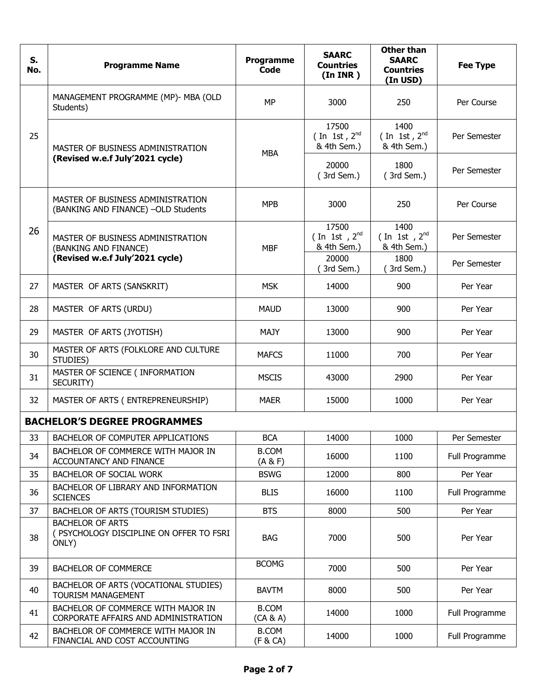| S.<br>No. | <b>Programme Name</b>                                                        | Programme<br>Code        | <b>SAARC</b><br><b>Countries</b><br>(In <b>INR</b> ) | <b>Other than</b><br><b>SAARC</b><br><b>Countries</b><br>(In USD) | <b>Fee Type</b> |
|-----------|------------------------------------------------------------------------------|--------------------------|------------------------------------------------------|-------------------------------------------------------------------|-----------------|
|           | MANAGEMENT PROGRAMME (MP)- MBA (OLD<br>Students)                             | <b>MP</b>                | 3000                                                 | 250                                                               | Per Course      |
| 25        | MASTER OF BUSINESS ADMINISTRATION<br>(Revised w.e.f July'2021 cycle)         | <b>MBA</b>               | 17500<br>(In 1st, $2^{nd}$<br>& 4th Sem.)            | 1400<br>(In 1st, $2^{nd}$<br>& 4th Sem.)                          | Per Semester    |
|           |                                                                              |                          | 20000<br>(3rd Sem.)                                  | 1800<br>(3rd Sem.)                                                | Per Semester    |
|           | MASTER OF BUSINESS ADMINISTRATION<br>(BANKING AND FINANCE) - OLD Students    | <b>MPB</b>               | 3000                                                 | 250                                                               | Per Course      |
| 26        | MASTER OF BUSINESS ADMINISTRATION<br>(BANKING AND FINANCE)                   | <b>MBF</b>               | 17500<br>(In 1st, $2^{nd}$<br>& 4th Sem.)            | 1400<br>(In 1st, $2^{nd}$<br>& 4th Sem.)                          | Per Semester    |
|           | (Revised w.e.f July'2021 cycle)                                              |                          | 20000<br>3rd Sem.)                                   | 1800<br>(3rd Sem.)                                                | Per Semester    |
| 27        | MASTER OF ARTS (SANSKRIT)                                                    | <b>MSK</b>               | 14000                                                | 900                                                               | Per Year        |
| 28        | MASTER OF ARTS (URDU)                                                        | <b>MAUD</b>              | 13000                                                | 900                                                               | Per Year        |
| 29        | MASTER OF ARTS (JYOTISH)                                                     | <b>MAJY</b>              | 13000                                                | 900                                                               | Per Year        |
| 30        | MASTER OF ARTS (FOLKLORE AND CULTURE<br>STUDIES)                             | <b>MAFCS</b>             | 11000                                                | 700                                                               | Per Year        |
| 31        | MASTER OF SCIENCE ( INFORMATION<br>SECURITY)                                 | <b>MSCIS</b>             | 43000                                                | 2900                                                              | Per Year        |
| 32        | MASTER OF ARTS (ENTREPRENEURSHIP)                                            | <b>MAER</b>              | 15000                                                | 1000                                                              | Per Year        |
|           | <b>BACHELOR'S DEGREE PROGRAMMES</b>                                          |                          |                                                      |                                                                   |                 |
| 33        | BACHELOR OF COMPUTER APPLICATIONS                                            | <b>BCA</b>               | 14000                                                | 1000                                                              | Per Semester    |
| 34        | BACHELOR OF COMMERCE WITH MAJOR IN<br>ACCOUNTANCY AND FINANCE                | <b>B.COM</b><br>(A & F)  | 16000                                                | 1100                                                              | Full Programme  |
| 35        | BACHELOR OF SOCIAL WORK                                                      | <b>BSWG</b>              | 12000                                                | 800                                                               | Per Year        |
| 36        | BACHELOR OF LIBRARY AND INFORMATION<br><b>SCIENCES</b>                       | <b>BLIS</b>              | 16000                                                | 1100                                                              | Full Programme  |
| 37        | BACHELOR OF ARTS (TOURISM STUDIES)                                           | <b>BTS</b>               | 8000                                                 | 500                                                               | Per Year        |
| 38        | <b>BACHELOR OF ARTS</b><br>( PSYCHOLOGY DISCIPLINE ON OFFER TO FSRI<br>ONLY) | <b>BAG</b>               | 7000                                                 | 500                                                               | Per Year        |
| 39        | <b>BACHELOR OF COMMERCE</b>                                                  | <b>BCOMG</b>             | 7000                                                 | 500                                                               | Per Year        |
| 40        | BACHELOR OF ARTS (VOCATIONAL STUDIES)<br>TOURISM MANAGEMENT                  | <b>BAVTM</b>             | 8000                                                 | 500                                                               | Per Year        |
| 41        | BACHELOR OF COMMERCE WITH MAJOR IN<br>CORPORATE AFFAIRS AND ADMINISTRATION   | <b>B.COM</b><br>(CA & A) | 14000                                                | 1000                                                              | Full Programme  |
| 42        | BACHELOR OF COMMERCE WITH MAJOR IN<br>FINANCIAL AND COST ACCOUNTING          | <b>B.COM</b><br>(F & CA) | 14000                                                | 1000                                                              | Full Programme  |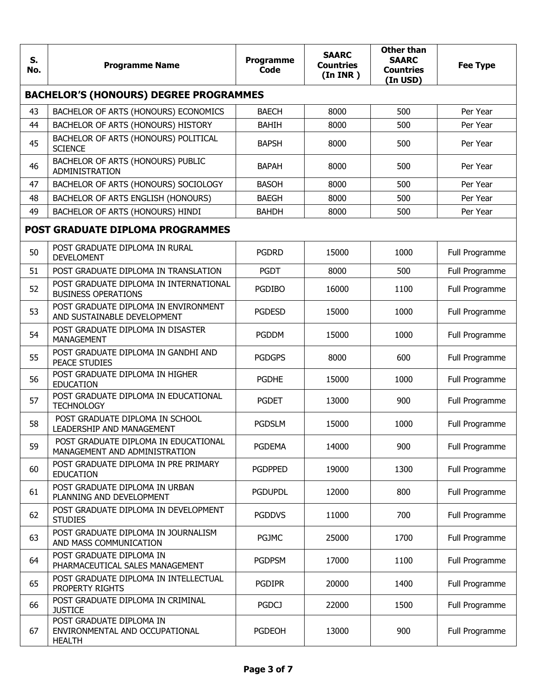| S.<br>No. | <b>Programme Name</b>                                                       | Programme<br>Code | <b>SAARC</b><br><b>Countries</b><br>(In <b>INR</b> ) | <b>Other than</b><br><b>SAARC</b><br><b>Countries</b><br>(In USD) | <b>Fee Type</b> |  |  |  |
|-----------|-----------------------------------------------------------------------------|-------------------|------------------------------------------------------|-------------------------------------------------------------------|-----------------|--|--|--|
|           | <b>BACHELOR'S (HONOURS) DEGREE PROGRAMMES</b>                               |                   |                                                      |                                                                   |                 |  |  |  |
| 43        | BACHELOR OF ARTS (HONOURS) ECONOMICS                                        | <b>BAECH</b>      | 8000                                                 | 500                                                               | Per Year        |  |  |  |
| 44        | BACHELOR OF ARTS (HONOURS) HISTORY                                          | <b>BAHIH</b>      | 8000                                                 | 500                                                               | Per Year        |  |  |  |
| 45        | BACHELOR OF ARTS (HONOURS) POLITICAL<br><b>SCIENCE</b>                      | <b>BAPSH</b>      | 8000                                                 | 500                                                               | Per Year        |  |  |  |
| 46        | BACHELOR OF ARTS (HONOURS) PUBLIC<br>ADMINISTRATION                         | <b>BAPAH</b>      | 8000                                                 | 500                                                               | Per Year        |  |  |  |
| 47        | BACHELOR OF ARTS (HONOURS) SOCIOLOGY                                        | <b>BASOH</b>      | 8000                                                 | 500                                                               | Per Year        |  |  |  |
| 48        | BACHELOR OF ARTS ENGLISH (HONOURS)                                          | <b>BAEGH</b>      | 8000                                                 | 500                                                               | Per Year        |  |  |  |
| 49        | BACHELOR OF ARTS (HONOURS) HINDI                                            | <b>BAHDH</b>      | 8000                                                 | 500                                                               | Per Year        |  |  |  |
|           | <b>POST GRADUATE DIPLOMA PROGRAMMES</b>                                     |                   |                                                      |                                                                   |                 |  |  |  |
| 50        | POST GRADUATE DIPLOMA IN RURAL<br><b>DEVELOMENT</b>                         | <b>PGDRD</b>      | 15000                                                | 1000                                                              | Full Programme  |  |  |  |
| 51        | POST GRADUATE DIPLOMA IN TRANSLATION                                        | <b>PGDT</b>       | 8000                                                 | 500                                                               | Full Programme  |  |  |  |
| 52        | POST GRADUATE DIPLOMA IN INTERNATIONAL<br><b>BUSINESS OPERATIONS</b>        | <b>PGDIBO</b>     | 16000                                                | 1100                                                              | Full Programme  |  |  |  |
| 53        | POST GRADUATE DIPLOMA IN ENVIRONMENT<br>AND SUSTAINABLE DEVELOPMENT         | <b>PGDESD</b>     | 15000                                                | 1000                                                              | Full Programme  |  |  |  |
| 54        | POST GRADUATE DIPLOMA IN DISASTER<br><b>MANAGEMENT</b>                      | <b>PGDDM</b>      | 15000                                                | 1000                                                              | Full Programme  |  |  |  |
| 55        | POST GRADUATE DIPLOMA IN GANDHI AND<br><b>PEACE STUDIES</b>                 | <b>PGDGPS</b>     | 8000                                                 | 600                                                               | Full Programme  |  |  |  |
| 56        | POST GRADUATE DIPLOMA IN HIGHER<br><b>EDUCATION</b>                         | <b>PGDHE</b>      | 15000                                                | 1000                                                              | Full Programme  |  |  |  |
| 57        | POST GRADUATE DIPLOMA IN EDUCATIONAL<br><b>TECHNOLOGY</b>                   | <b>PGDET</b>      | 13000                                                | 900                                                               | Full Programme  |  |  |  |
| 58        | POST GRADUATE DIPLOMA IN SCHOOL<br>LEADERSHIP AND MANAGEMENT                | <b>PGDSLM</b>     | 15000                                                | 1000                                                              | Full Programme  |  |  |  |
| 59        | POST GRADUATE DIPLOMA IN EDUCATIONAL<br>MANAGEMENT AND ADMINISTRATION       | <b>PGDEMA</b>     | 14000                                                | 900                                                               | Full Programme  |  |  |  |
| 60        | POST GRADUATE DIPLOMA IN PRE PRIMARY<br><b>EDUCATION</b>                    | <b>PGDPPED</b>    | 19000                                                | 1300                                                              | Full Programme  |  |  |  |
| 61        | POST GRADUATE DIPLOMA IN URBAN<br>PLANNING AND DEVELOPMENT                  | <b>PGDUPDL</b>    | 12000                                                | 800                                                               | Full Programme  |  |  |  |
| 62        | POST GRADUATE DIPLOMA IN DEVELOPMENT<br><b>STUDIES</b>                      | <b>PGDDVS</b>     | 11000                                                | 700                                                               | Full Programme  |  |  |  |
| 63        | POST GRADUATE DIPLOMA IN JOURNALISM<br>AND MASS COMMUNICATION               | PGJMC             | 25000                                                | 1700                                                              | Full Programme  |  |  |  |
| 64        | POST GRADUATE DIPLOMA IN<br>PHARMACEUTICAL SALES MANAGEMENT                 | <b>PGDPSM</b>     | 17000                                                | 1100                                                              | Full Programme  |  |  |  |
| 65        | POST GRADUATE DIPLOMA IN INTELLECTUAL<br>PROPERTY RIGHTS                    | <b>PGDIPR</b>     | 20000                                                | 1400                                                              | Full Programme  |  |  |  |
| 66        | POST GRADUATE DIPLOMA IN CRIMINAL<br><b>JUSTICE</b>                         | <b>PGDCJ</b>      | 22000                                                | 1500                                                              | Full Programme  |  |  |  |
| 67        | POST GRADUATE DIPLOMA IN<br>ENVIRONMENTAL AND OCCUPATIONAL<br><b>HEALTH</b> | <b>PGDEOH</b>     | 13000                                                | 900                                                               | Full Programme  |  |  |  |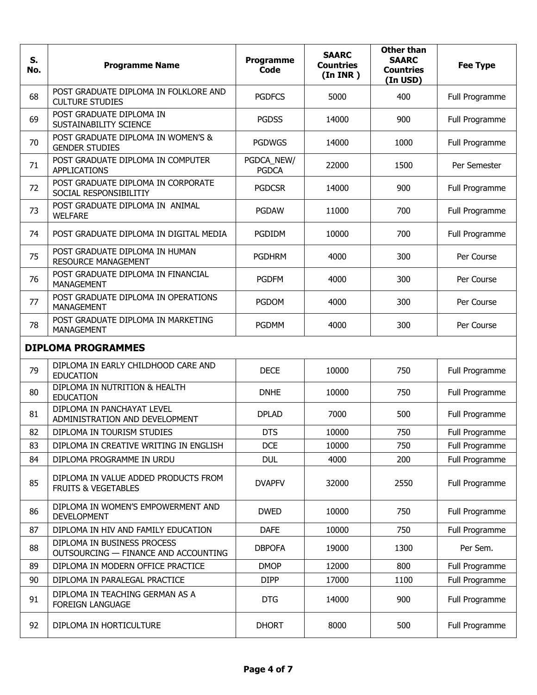| S.<br>No. | <b>Programme Name</b>                                                  | Programme<br><b>Code</b>   | <b>SAARC</b><br><b>Countries</b><br>(In <b>INR</b> ) | <b>Other than</b><br><b>SAARC</b><br><b>Countries</b><br>(In USD) | <b>Fee Type</b> |  |
|-----------|------------------------------------------------------------------------|----------------------------|------------------------------------------------------|-------------------------------------------------------------------|-----------------|--|
| 68        | POST GRADUATE DIPLOMA IN FOLKLORE AND<br><b>CULTURE STUDIES</b>        | <b>PGDFCS</b>              | 5000                                                 | 400                                                               | Full Programme  |  |
| 69        | POST GRADUATE DIPLOMA IN<br>SUSTAINABILITY SCIENCE                     | <b>PGDSS</b>               | 14000                                                | 900                                                               | Full Programme  |  |
| 70        | POST GRADUATE DIPLOMA IN WOMEN'S &<br><b>GENDER STUDIES</b>            | <b>PGDWGS</b>              | 14000                                                | 1000                                                              | Full Programme  |  |
| 71        | POST GRADUATE DIPLOMA IN COMPUTER<br><b>APPLICATIONS</b>               | PGDCA_NEW/<br><b>PGDCA</b> | 22000                                                | 1500                                                              | Per Semester    |  |
| 72        | POST GRADUATE DIPLOMA IN CORPORATE<br>SOCIAL RESPONSIBILITIY           | <b>PGDCSR</b>              | 14000                                                | 900                                                               | Full Programme  |  |
| 73        | POST GRADUATE DIPLOMA IN ANIMAL<br><b>WELFARE</b>                      | <b>PGDAW</b>               | 11000                                                | 700                                                               | Full Programme  |  |
| 74        | POST GRADUATE DIPLOMA IN DIGITAL MEDIA                                 | PGDIDM                     | 10000                                                | 700                                                               | Full Programme  |  |
| 75        | POST GRADUATE DIPLOMA IN HUMAN<br><b>RESOURCE MANAGEMENT</b>           | <b>PGDHRM</b>              | 4000                                                 | 300                                                               | Per Course      |  |
| 76        | POST GRADUATE DIPLOMA IN FINANCIAL<br>MANAGEMENT                       | <b>PGDFM</b>               | 4000                                                 | 300                                                               | Per Course      |  |
| 77        | POST GRADUATE DIPLOMA IN OPERATIONS<br><b>MANAGEMENT</b>               | <b>PGDOM</b>               | 4000                                                 | 300                                                               | Per Course      |  |
| 78        | POST GRADUATE DIPLOMA IN MARKETING<br><b>MANAGEMENT</b>                | <b>PGDMM</b>               | 4000                                                 | 300                                                               | Per Course      |  |
|           | <b>DIPLOMA PROGRAMMES</b>                                              |                            |                                                      |                                                                   |                 |  |
| 79        | DIPLOMA IN EARLY CHILDHOOD CARE AND<br><b>EDUCATION</b>                | <b>DECE</b>                | 10000                                                | 750                                                               | Full Programme  |  |
| 80        | DIPLOMA IN NUTRITION & HEALTH<br><b>EDUCATION</b>                      | <b>DNHE</b>                | 10000                                                | 750                                                               | Full Programme  |  |
| 81        | DIPLOMA IN PANCHAYAT LEVEL<br>ADMINISTRATION AND DEVELOPMENT           | <b>DPLAD</b>               | 7000                                                 | 500                                                               | Full Programme  |  |
| 82        | DIPLOMA IN TOURISM STUDIES                                             | <b>DTS</b>                 | 10000                                                | 750                                                               | Full Programme  |  |
| 83        | DIPLOMA IN CREATIVE WRITING IN ENGLISH                                 | <b>DCE</b>                 | 10000                                                | 750                                                               | Full Programme  |  |
| 84        | DIPLOMA PROGRAMME IN URDU                                              | <b>DUL</b>                 | 4000                                                 | 200                                                               | Full Programme  |  |
| 85        | DIPLOMA IN VALUE ADDED PRODUCTS FROM<br><b>FRUITS &amp; VEGETABLES</b> | <b>DVAPFV</b>              | 32000                                                | 2550                                                              | Full Programme  |  |
| 86        | DIPLOMA IN WOMEN'S EMPOWERMENT AND<br><b>DEVELOPMENT</b>               | <b>DWED</b>                | 10000                                                | 750                                                               | Full Programme  |  |
| 87        | DIPLOMA IN HIV AND FAMILY EDUCATION                                    | <b>DAFE</b>                | 10000                                                | 750                                                               | Full Programme  |  |
| 88        | DIPLOMA IN BUSINESS PROCESS<br>OUTSOURCING - FINANCE AND ACCOUNTING    | <b>DBPOFA</b>              | 19000                                                | 1300                                                              | Per Sem.        |  |
| 89        | DIPLOMA IN MODERN OFFICE PRACTICE                                      | <b>DMOP</b>                | 12000                                                | 800                                                               | Full Programme  |  |
| 90        | DIPLOMA IN PARALEGAL PRACTICE                                          | <b>DIPP</b>                | 17000                                                | 1100                                                              | Full Programme  |  |
| 91        | DIPLOMA IN TEACHING GERMAN AS A<br><b>FOREIGN LANGUAGE</b>             | <b>DTG</b>                 | 14000                                                | 900                                                               | Full Programme  |  |
| 92        | DIPLOMA IN HORTICULTURE                                                | <b>DHORT</b>               | 8000                                                 | 500                                                               | Full Programme  |  |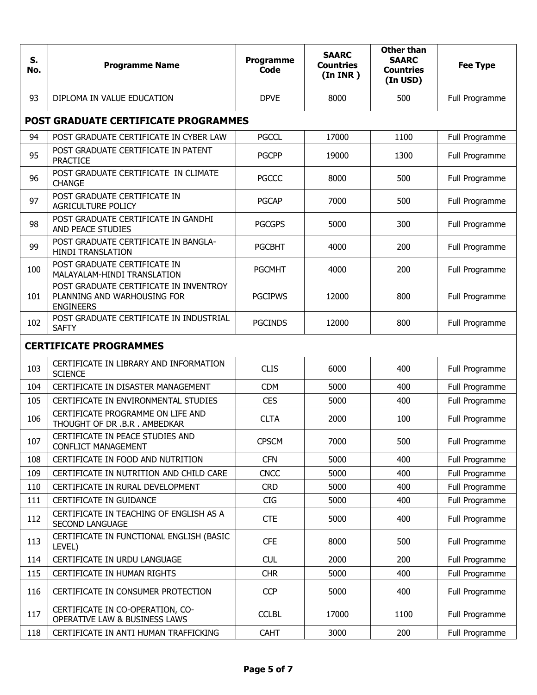| S.<br>No. | <b>Programme Name</b>                                                                     | Programme<br>Code | <b>SAARC</b><br><b>Countries</b><br>(In <b>INR</b> ) | <b>Other than</b><br><b>SAARC</b><br><b>Countries</b><br>(In USD) | <b>Fee Type</b> |  |  |
|-----------|-------------------------------------------------------------------------------------------|-------------------|------------------------------------------------------|-------------------------------------------------------------------|-----------------|--|--|
| 93        | DIPLOMA IN VALUE EDUCATION                                                                | <b>DPVE</b>       | 8000                                                 | 500                                                               | Full Programme  |  |  |
|           | POST GRADUATE CERTIFICATE PROGRAMMES                                                      |                   |                                                      |                                                                   |                 |  |  |
| 94        | POST GRADUATE CERTIFICATE IN CYBER LAW                                                    | <b>PGCCL</b>      | 17000                                                | 1100                                                              | Full Programme  |  |  |
| 95        | POST GRADUATE CERTIFICATE IN PATENT<br><b>PRACTICE</b>                                    | <b>PGCPP</b>      | 19000                                                | 1300                                                              | Full Programme  |  |  |
| 96        | POST GRADUATE CERTIFICATE IN CLIMATE<br><b>CHANGE</b>                                     | <b>PGCCC</b>      | 8000                                                 | 500                                                               | Full Programme  |  |  |
| 97        | POST GRADUATE CERTIFICATE IN<br>AGRICULTURE POLICY                                        | <b>PGCAP</b>      | 7000                                                 | 500                                                               | Full Programme  |  |  |
| 98        | POST GRADUATE CERTIFICATE IN GANDHI<br>AND PEACE STUDIES                                  | <b>PGCGPS</b>     | 5000                                                 | 300                                                               | Full Programme  |  |  |
| 99        | POST GRADUATE CERTIFICATE IN BANGLA-<br><b>HINDI TRANSLATION</b>                          | <b>PGCBHT</b>     | 4000                                                 | 200                                                               | Full Programme  |  |  |
| 100       | POST GRADUATE CERTIFICATE IN<br>MALAYALAM-HINDI TRANSLATION                               | <b>PGCMHT</b>     | 4000                                                 | 200                                                               | Full Programme  |  |  |
| 101       | POST GRADUATE CERTIFICATE IN INVENTROY<br>PLANNING AND WARHOUSING FOR<br><b>ENGINEERS</b> | <b>PGCIPWS</b>    | 12000                                                | 800                                                               | Full Programme  |  |  |
| 102       | POST GRADUATE CERTIFICATE IN INDUSTRIAL<br><b>SAFTY</b>                                   | <b>PGCINDS</b>    | 12000                                                | 800                                                               | Full Programme  |  |  |
|           | <b>CERTIFICATE PROGRAMMES</b>                                                             |                   |                                                      |                                                                   |                 |  |  |
| 103       | CERTIFICATE IN LIBRARY AND INFORMATION<br><b>SCIENCE</b>                                  | <b>CLIS</b>       | 6000                                                 | 400                                                               | Full Programme  |  |  |
| 104       | CERTIFICATE IN DISASTER MANAGEMENT                                                        | <b>CDM</b>        | 5000                                                 | 400                                                               | Full Programme  |  |  |
| 105       | CERTIFICATE IN ENVIRONMENTAL STUDIES                                                      | <b>CES</b>        | 5000                                                 | 400                                                               | Full Programme  |  |  |
| 106       | CERTIFICATE PROGRAMME ON LIFE AND<br>THOUGHT OF DR .B.R . AMBEDKAR                        | <b>CLTA</b>       | 2000                                                 | 100                                                               | Full Programme  |  |  |
| 107       | CERTIFICATE IN PEACE STUDIES AND<br><b>CONFLICT MANAGEMENT</b>                            | <b>CPSCM</b>      | 7000                                                 | 500                                                               | Full Programme  |  |  |
| 108       | CERTIFICATE IN FOOD AND NUTRITION                                                         | <b>CFN</b>        | 5000                                                 | 400                                                               | Full Programme  |  |  |
| 109       | CERTIFICATE IN NUTRITION AND CHILD CARE                                                   | <b>CNCC</b>       | 5000                                                 | 400                                                               | Full Programme  |  |  |
| 110       | CERTIFICATE IN RURAL DEVELOPMENT                                                          | <b>CRD</b>        | 5000                                                 | 400                                                               | Full Programme  |  |  |
| 111       | CERTIFICATE IN GUIDANCE                                                                   | <b>CIG</b>        | 5000                                                 | 400                                                               | Full Programme  |  |  |
| 112       | CERTIFICATE IN TEACHING OF ENGLISH AS A<br>SECOND LANGUAGE                                | <b>CTE</b>        | 5000                                                 | 400                                                               | Full Programme  |  |  |
| 113       | CERTIFICATE IN FUNCTIONAL ENGLISH (BASIC<br>LEVEL)                                        | <b>CFE</b>        | 8000                                                 | 500                                                               | Full Programme  |  |  |
| 114       | CERTIFICATE IN URDU LANGUAGE                                                              | <b>CUL</b>        | 2000                                                 | 200                                                               | Full Programme  |  |  |
| 115       | CERTIFICATE IN HUMAN RIGHTS                                                               | <b>CHR</b>        | 5000                                                 | 400                                                               | Full Programme  |  |  |
| 116       | CERTIFICATE IN CONSUMER PROTECTION                                                        | <b>CCP</b>        | 5000                                                 | 400                                                               | Full Programme  |  |  |
| 117       | CERTIFICATE IN CO-OPERATION, CO-<br>OPERATIVE LAW & BUSINESS LAWS                         | <b>CCLBL</b>      | 17000                                                | 1100                                                              | Full Programme  |  |  |
| 118       | CERTIFICATE IN ANTI HUMAN TRAFFICKING                                                     | <b>CAHT</b>       | 3000                                                 | 200                                                               | Full Programme  |  |  |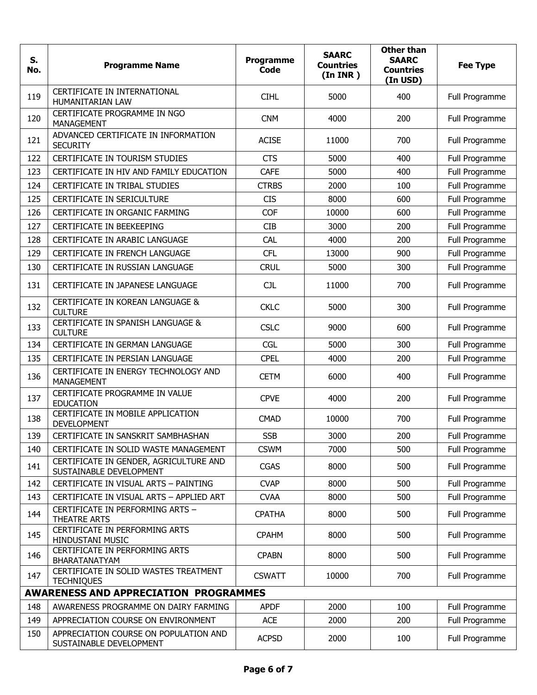| S.<br>No.                                    | <b>Programme Name</b>                                             | <b>Programme</b><br><b>Code</b> | <b>SAARC</b><br><b>Countries</b><br>(In <b>INR</b> ) | <b>Other than</b><br><b>SAARC</b><br><b>Countries</b><br>(In USD) | <b>Fee Type</b> |
|----------------------------------------------|-------------------------------------------------------------------|---------------------------------|------------------------------------------------------|-------------------------------------------------------------------|-----------------|
| 119                                          | CERTIFICATE IN INTERNATIONAL<br>HUMANITARIAN LAW                  | <b>CIHL</b>                     | 5000                                                 | 400                                                               | Full Programme  |
| 120                                          | CERTIFICATE PROGRAMME IN NGO<br><b>MANAGEMENT</b>                 | <b>CNM</b>                      | 4000                                                 | 200                                                               | Full Programme  |
| 121                                          | ADVANCED CERTIFICATE IN INFORMATION<br><b>SECURITY</b>            | <b>ACISE</b>                    | 11000                                                | 700                                                               | Full Programme  |
| 122                                          | CERTIFICATE IN TOURISM STUDIES                                    | <b>CTS</b>                      | 5000                                                 | 400                                                               | Full Programme  |
| 123                                          | CERTIFICATE IN HIV AND FAMILY EDUCATION                           | <b>CAFE</b>                     | 5000                                                 | 400                                                               | Full Programme  |
| 124                                          | CERTIFICATE IN TRIBAL STUDIES                                     | <b>CTRBS</b>                    | 2000                                                 | 100                                                               | Full Programme  |
| 125                                          | CERTIFICATE IN SERICULTURE                                        | <b>CIS</b>                      | 8000                                                 | 600                                                               | Full Programme  |
| 126                                          | CERTIFICATE IN ORGANIC FARMING                                    | <b>COF</b>                      | 10000                                                | 600                                                               | Full Programme  |
| 127                                          | CERTIFICATE IN BEEKEEPING                                         | <b>CIB</b>                      | 3000                                                 | 200                                                               | Full Programme  |
| 128                                          | CERTIFICATE IN ARABIC LANGUAGE                                    | CAL                             | 4000                                                 | 200                                                               | Full Programme  |
| 129                                          | CERTIFICATE IN FRENCH LANGUAGE                                    | <b>CFL</b>                      | 13000                                                | 900                                                               | Full Programme  |
| 130                                          | CERTIFICATE IN RUSSIAN LANGUAGE                                   | <b>CRUL</b>                     | 5000                                                 | 300                                                               | Full Programme  |
| 131                                          | CERTIFICATE IN JAPANESE LANGUAGE                                  | <b>CJL</b>                      | 11000                                                | 700                                                               | Full Programme  |
| 132                                          | CERTIFICATE IN KOREAN LANGUAGE &<br><b>CULTURE</b>                | <b>CKLC</b>                     | 5000                                                 | 300                                                               | Full Programme  |
| 133                                          | CERTIFICATE IN SPANISH LANGUAGE &<br><b>CULTURE</b>               | <b>CSLC</b>                     | 9000                                                 | 600                                                               | Full Programme  |
| 134                                          | CERTIFICATE IN GERMAN LANGUAGE                                    | <b>CGL</b>                      | 5000                                                 | 300                                                               | Full Programme  |
| 135                                          | CERTIFICATE IN PERSIAN LANGUAGE                                   | <b>CPEL</b>                     | 4000                                                 | 200                                                               | Full Programme  |
| 136                                          | CERTIFICATE IN ENERGY TECHNOLOGY AND<br><b>MANAGEMENT</b>         | <b>CETM</b>                     | 6000                                                 | 400                                                               | Full Programme  |
| 137                                          | CERTIFICATE PROGRAMME IN VALUE<br><b>EDUCATION</b>                | <b>CPVE</b>                     | 4000                                                 | 200                                                               | Full Programme  |
| 138                                          | CERTIFICATE IN MOBILE APPLICATION<br><b>DEVELOPMENT</b>           | <b>CMAD</b>                     | 10000                                                | 700                                                               | Full Programme  |
| 139                                          | CERTIFICATE IN SANSKRIT SAMBHASHAN                                | <b>SSB</b>                      | 3000                                                 | 200                                                               | Full Programme  |
| 140                                          | CERTIFICATE IN SOLID WASTE MANAGEMENT                             | <b>CSWM</b>                     | 7000                                                 | 500                                                               | Full Programme  |
| 141                                          | CERTIFICATE IN GENDER, AGRICULTURE AND<br>SUSTAINABLE DEVELOPMENT | <b>CGAS</b>                     | 8000                                                 | 500                                                               | Full Programme  |
| 142                                          | CERTIFICATE IN VISUAL ARTS - PAINTING                             | <b>CVAP</b>                     | 8000                                                 | 500                                                               | Full Programme  |
| 143                                          | CERTIFICATE IN VISUAL ARTS - APPLIED ART                          | <b>CVAA</b>                     | 8000                                                 | 500                                                               | Full Programme  |
| 144                                          | CERTIFICATE IN PERFORMING ARTS -<br>THEATRE ARTS                  | <b>CPATHA</b>                   | 8000                                                 | 500                                                               | Full Programme  |
| 145                                          | CERTIFICATE IN PERFORMING ARTS<br>HINDUSTANI MUSIC                | <b>CPAHM</b>                    | 8000                                                 | 500                                                               | Full Programme  |
| 146                                          | CERTIFICATE IN PERFORMING ARTS<br>BHARATANATYAM                   | <b>CPABN</b>                    | 8000                                                 | 500                                                               | Full Programme  |
| 147                                          | CERTIFICATE IN SOLID WASTES TREATMENT<br><b>TECHNIQUES</b>        | <b>CSWATT</b>                   | 10000                                                | 700                                                               | Full Programme  |
| <b>AWARENESS AND APPRECIATION PROGRAMMES</b> |                                                                   |                                 |                                                      |                                                                   |                 |
| 148                                          | AWARENESS PROGRAMME ON DAIRY FARMING                              | <b>APDF</b>                     | 2000                                                 | 100                                                               | Full Programme  |
| 149                                          | APPRECIATION COURSE ON ENVIRONMENT                                | <b>ACE</b>                      | 2000                                                 | 200                                                               | Full Programme  |
| 150                                          | APPRECIATION COURSE ON POPULATION AND<br>SUSTAINABLE DEVELOPMENT  | <b>ACPSD</b>                    | 2000                                                 | 100                                                               | Full Programme  |